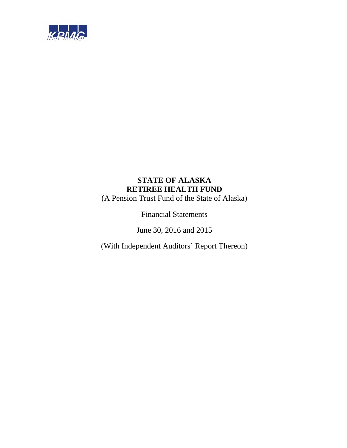

(A Pension Trust Fund of the State of Alaska)

Financial Statements

June 30, 2016 and 2015

(With Independent Auditors' Report Thereon)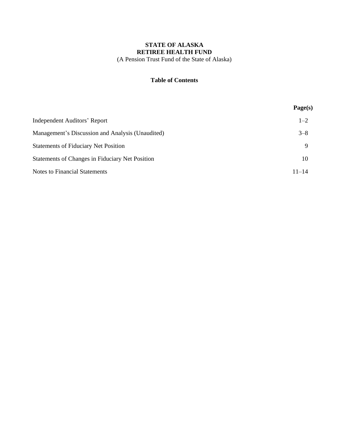(A Pension Trust Fund of the State of Alaska)

# **Table of Contents**

|                                                  | Page(s)   |
|--------------------------------------------------|-----------|
| Independent Auditors' Report                     | $1 - 2$   |
| Management's Discussion and Analysis (Unaudited) | $3 - 8$   |
| <b>Statements of Fiduciary Net Position</b>      | Q         |
| Statements of Changes in Fiduciary Net Position  | 10        |
| <b>Notes to Financial Statements</b>             | $11 - 14$ |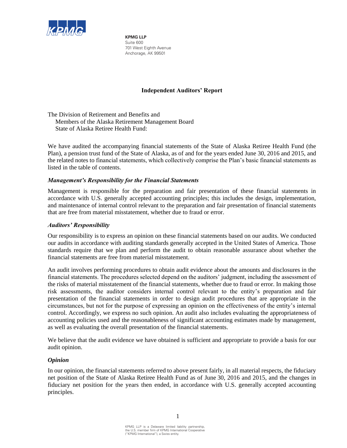

**KPMG LLP** Suite 600 701 West Eighth Avenue Anchorage, AK 99501

# **Independent Auditors' Report**

The Division of Retirement and Benefits and Members of the Alaska Retirement Management Board State of Alaska Retiree Health Fund:

We have audited the accompanying financial statements of the State of Alaska Retiree Health Fund (the Plan), a pension trust fund of the State of Alaska, as of and for the years ended June 30, 2016 and 2015, and the related notes to financial statements, which collectively comprise the Plan's basic financial statements as listed in the table of contents.

# *Management's Responsibility for the Financial Statements*

Management is responsible for the preparation and fair presentation of these financial statements in accordance with U.S. generally accepted accounting principles; this includes the design, implementation, and maintenance of internal control relevant to the preparation and fair presentation of financial statements that are free from material misstatement, whether due to fraud or error.

# *Auditors' Responsibility*

Our responsibility is to express an opinion on these financial statements based on our audits. We conducted our audits in accordance with auditing standards generally accepted in the United States of America. Those standards require that we plan and perform the audit to obtain reasonable assurance about whether the financial statements are free from material misstatement.

An audit involves performing procedures to obtain audit evidence about the amounts and disclosures in the financial statements. The procedures selected depend on the auditors' judgment, including the assessment of the risks of material misstatement of the financial statements, whether due to fraud or error. In making those risk assessments, the auditor considers internal control relevant to the entity's preparation and fair presentation of the financial statements in order to design audit procedures that are appropriate in the circumstances, but not for the purpose of expressing an opinion on the effectiveness of the entity's internal control. Accordingly, we express no such opinion. An audit also includes evaluating the appropriateness of accounting policies used and the reasonableness of significant accounting estimates made by management, as well as evaluating the overall presentation of the financial statements.

We believe that the audit evidence we have obtained is sufficient and appropriate to provide a basis for our audit opinion.

# *Opinion*

In our opinion, the financial statements referred to above present fairly, in all material respects, the fiduciary net position of the State of Alaska Retiree Health Fund as of June 30, 2016 and 2015, and the changes in fiduciary net position for the years then ended, in accordance with U.S. generally accepted accounting principles.

1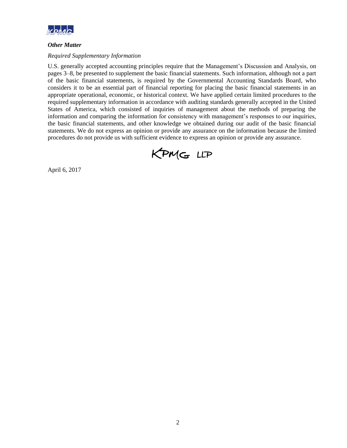

# *Other Matter*

# *Required Supplementary Information*

U.S. generally accepted accounting principles require that the Management's Discussion and Analysis, on pages 3–8, be presented to supplement the basic financial statements. Such information, although not a part of the basic financial statements, is required by the Governmental Accounting Standards Board, who considers it to be an essential part of financial reporting for placing the basic financial statements in an appropriate operational, economic, or historical context. We have applied certain limited procedures to the required supplementary information in accordance with auditing standards generally accepted in the United States of America, which consisted of inquiries of management about the methods of preparing the information and comparing the information for consistency with management's responses to our inquiries, the basic financial statements, and other knowledge we obtained during our audit of the basic financial statements. We do not express an opinion or provide any assurance on the information because the limited procedures do not provide us with sufficient evidence to express an opinion or provide any assurance.



April 6, 2017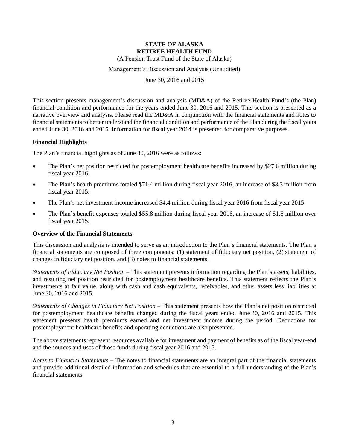(A Pension Trust Fund of the State of Alaska)

Management's Discussion and Analysis (Unaudited)

June 30, 2016 and 2015

This section presents management's discussion and analysis (MD&A) of the Retiree Health Fund's (the Plan) financial condition and performance for the years ended June 30, 2016 and 2015. This section is presented as a narrative overview and analysis. Please read the MD&A in conjunction with the financial statements and notes to financial statements to better understand the financial condition and performance of the Plan during the fiscal years ended June 30, 2016 and 2015. Information for fiscal year 2014 is presented for comparative purposes.

# **Financial Highlights**

The Plan's financial highlights as of June 30, 2016 were as follows:

- The Plan's net position restricted for postemployment healthcare benefits increased by \$27.6 million during fiscal year 2016.
- The Plan's health premiums totaled \$71.4 million during fiscal year 2016, an increase of \$3.3 million from fiscal year 2015.
- The Plan's net investment income increased \$4.4 million during fiscal year 2016 from fiscal year 2015.
- The Plan's benefit expenses totaled \$55.8 million during fiscal year 2016, an increase of \$1.6 million over fiscal year 2015.

## **Overview of the Financial Statements**

This discussion and analysis is intended to serve as an introduction to the Plan's financial statements. The Plan's financial statements are composed of three components: (1) statement of fiduciary net position, (2) statement of changes in fiduciary net position, and (3) notes to financial statements.

*Statements of Fiduciary Net Position* – This statement presents information regarding the Plan's assets, liabilities, and resulting net position restricted for postemployment healthcare benefits. This statement reflects the Plan's investments at fair value, along with cash and cash equivalents, receivables, and other assets less liabilities at June 30, 2016 and 2015.

*Statements of Changes in Fiduciary Net Position* – This statement presents how the Plan's net position restricted for postemployment healthcare benefits changed during the fiscal years ended June 30, 2016 and 2015. This statement presents health premiums earned and net investment income during the period. Deductions for postemployment healthcare benefits and operating deductions are also presented.

The above statements represent resources available for investment and payment of benefits as of the fiscal year-end and the sources and uses of those funds during fiscal year 2016 and 2015.

*Notes to Financial Statements* – The notes to financial statements are an integral part of the financial statements and provide additional detailed information and schedules that are essential to a full understanding of the Plan's financial statements.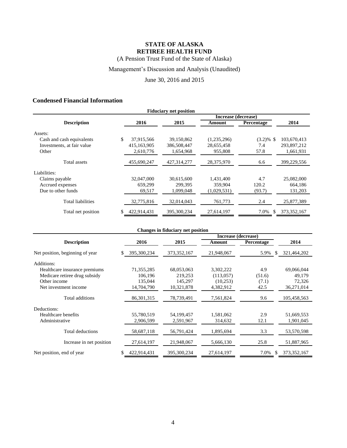(A Pension Trust Fund of the State of Alaska)

# Management's Discussion and Analysis (Unaudited)

June 30, 2016 and 2015

# **Condensed Financial Information**

| <b>Fiduciary net position</b> |                     |             |             |             |              |               |  |
|-------------------------------|---------------------|-------------|-------------|-------------|--------------|---------------|--|
|                               | Increase (decrease) |             |             |             |              |               |  |
| <b>Description</b>            |                     | 2016        | 2015        | Amount      | Percentage   | 2014          |  |
| Assets:                       |                     |             |             |             |              |               |  |
| Cash and cash equivalents     | \$                  | 37,915,566  | 39,150,862  | (1,235,296) | $(3.2)\%$ \$ | 103,670,413   |  |
| Investments, at fair value    |                     | 415,163,905 | 386,508,447 | 28,655,458  | 7.4          | 293,897,212   |  |
| Other                         |                     | 2,610,776   | 1,654,968   | 955,808     | 57.8         | 1,661,931     |  |
| Total assets                  |                     | 455,690,247 | 427,314,277 | 28,375,970  | 6.6          | 399,229,556   |  |
| Liabilities:                  |                     |             |             |             |              |               |  |
| Claims payable                |                     | 32,047,000  | 30,615,600  | 1,431,400   | 4.7          | 25,082,000    |  |
| Accrued expenses              |                     | 659.299     | 299.395     | 359,904     | 120.2        | 664,186       |  |
| Due to other funds            |                     | 69,517      | 1,099,048   | (1,029,531) | (93.7)       | 131,203       |  |
| <b>Total liabilities</b>      |                     | 32,775,816  | 32,014,043  | 761,773     | 2.4          | 25,877,389    |  |
| Total net position            |                     | 422,914,431 | 395,300,234 | 27,614,197  | 7.0%<br>\$.  | 373, 352, 167 |  |

| <b>Changes in fiduciary net position</b> |              |               |            |            |               |  |  |  |
|------------------------------------------|--------------|---------------|------------|------------|---------------|--|--|--|
| Increase (decrease)                      |              |               |            |            |               |  |  |  |
| <b>Description</b>                       | 2016         | 2015          | Amount     | Percentage | 2014          |  |  |  |
| Net position, beginning of year          | 395,300,234  | 373, 352, 167 | 21,948,067 | 5.9%<br>-S | 321,464,202   |  |  |  |
| Additions:                               |              |               |            |            |               |  |  |  |
| Healthcare insurance premiums            | 71,355,285   | 68,053,063    | 3,302,222  | 4.9        | 69,066,044    |  |  |  |
| Medicare retiree drug subsidy            | 106,196      | 219,253       | (113,057)  | (51.6)     | 49,179        |  |  |  |
| Other income                             | 135,044      | 145,297       | (10,253)   | (7.1)      | 72,326        |  |  |  |
| Net investment income                    | 14,704,790   | 10,321,878    | 4,382,912  | 42.5       | 36,271,014    |  |  |  |
| Total additions                          | 86, 301, 315 | 78,739,491    | 7,561,824  | 9.6        | 105,458,563   |  |  |  |
| Deductions:                              |              |               |            |            |               |  |  |  |
| Healthcare benefits                      | 55,780,519   | 54,199,457    | 1,581,062  | 2.9        | 51,669,553    |  |  |  |
| Administrative                           | 2,906,599    | 2,591,967     | 314,632    | 12.1       | 1,901,045     |  |  |  |
| Total deductions                         | 58,687,118   | 56,791,424    | 1,895,694  | 3.3        | 53,570,598    |  |  |  |
| Increase in net position                 | 27,614,197   | 21,948,067    | 5,666,130  | 25.8       | 51,887,965    |  |  |  |
| Net position, end of year                | 422,914,431  | 395,300,234   | 27,614,197 | 7.0%<br>S  | 373, 352, 167 |  |  |  |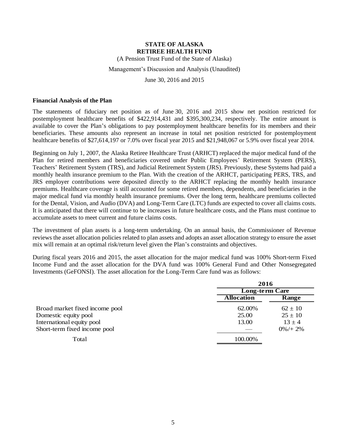(A Pension Trust Fund of the State of Alaska)

## Management's Discussion and Analysis (Unaudited)

June 30, 2016 and 2015

#### **Financial Analysis of the Plan**

The statements of fiduciary net position as of June 30, 2016 and 2015 show net position restricted for postemployment healthcare benefits of \$422,914,431 and \$395,300,234, respectively. The entire amount is available to cover the Plan's obligations to pay postemployment healthcare benefits for its members and their beneficiaries. These amounts also represent an increase in total net position restricted for postemployment healthcare benefits of \$27,614,197 or 7.0% over fiscal year 2015 and \$21,948,067 or 5.9% over fiscal year 2014.

Beginning on July 1, 2007, the Alaska Retiree Healthcare Trust (ARHCT) replaced the major medical fund of the Plan for retired members and beneficiaries covered under Public Employees' Retirement System (PERS), Teachers' Retirement System (TRS), and Judicial Retirement System (JRS). Previously, these Systems had paid a monthly health insurance premium to the Plan. With the creation of the ARHCT, participating PERS, TRS, and JRS employer contributions were deposited directly to the ARHCT replacing the monthly health insurance premiums. Healthcare coverage is still accounted for some retired members, dependents, and beneficiaries in the major medical fund via monthly health insurance premiums. Over the long term, healthcare premiums collected for the Dental, Vision, and Audio (DVA) and Long-Term Care (LTC) funds are expected to cover all claims costs. It is anticipated that there will continue to be increases in future healthcare costs, and the Plans must continue to accumulate assets to meet current and future claims costs.

The investment of plan assets is a long-term undertaking. On an annual basis, the Commissioner of Revenue reviews the asset allocation policies related to plan assets and adopts an asset allocation strategy to ensure the asset mix will remain at an optimal risk/return level given the Plan's constraints and objectives.

During fiscal years 2016 and 2015, the asset allocation for the major medical fund was 100% Short-term Fixed Income Fund and the asset allocation for the DVA fund was 100% General Fund and Other Nonsegregated Investments (GeFONSI). The asset allocation for the Long-Term Care fund was as follows:

|                                | 2016<br><b>Long-term Care</b> |             |  |
|--------------------------------|-------------------------------|-------------|--|
|                                |                               |             |  |
|                                | <b>Allocation</b>             | Range       |  |
| Broad market fixed income pool | 62.00%                        | $62 \pm 10$ |  |
| Domestic equity pool           | 25.00                         | $25 \pm 10$ |  |
| International equity pool      | 13.00                         | $13 \pm 4$  |  |
| Short-term fixed income pool   |                               | $0\% + 2\%$ |  |
| Total                          | 100.00%                       |             |  |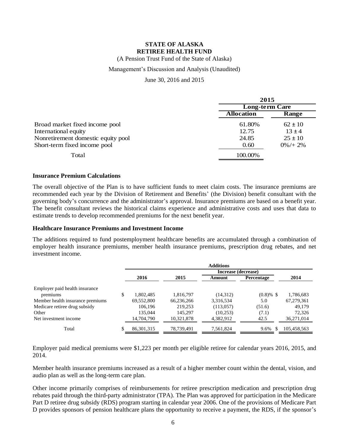(A Pension Trust Fund of the State of Alaska)

# Management's Discussion and Analysis (Unaudited)

# June 30, 2016 and 2015

|                                    | 2015                  |             |  |
|------------------------------------|-----------------------|-------------|--|
|                                    | <b>Long-term Care</b> |             |  |
|                                    | <b>Allocation</b>     | Range       |  |
| Broad market fixed income pool     | 61.80%                | $62 \pm 10$ |  |
| International equity               | 12.75                 | $13 \pm 4$  |  |
| Nonretirement domestic equity pool | 24.85                 | $25 \pm 10$ |  |
| Short-term fixed income pool       | 0.60                  | $0\% + 2\%$ |  |
| Total                              | 100.00%               |             |  |

# **Insurance Premium Calculations**

The overall objective of the Plan is to have sufficient funds to meet claim costs. The insurance premiums are recommended each year by the Division of Retirement and Benefits' (the Division) benefit consultant with the governing body's concurrence and the administrator's approval. Insurance premiums are based on a benefit year. The benefit consultant reviews the historical claims experience and administrative costs and uses that data to estimate trends to develop recommended premiums for the next benefit year.

## **Healthcare Insurance Premiums and Investment Income**

The additions required to fund postemployment healthcare benefits are accumulated through a combination of employer health insurance premiums, member health insurance premiums, prescription drug rebates, and net investment income.

|                                  |                     |            | <b>Additions</b> |                   |             |  |  |
|----------------------------------|---------------------|------------|------------------|-------------------|-------------|--|--|
|                                  | Increase (decrease) |            |                  |                   |             |  |  |
|                                  | 2016                | 2015       | Amount           | <b>Percentage</b> | 2014        |  |  |
| Employer paid health insurance   |                     |            |                  |                   |             |  |  |
| premiums                         | \$<br>1,802,485     | 1,816,797  | (14,312)         | $(0.8) \%$ \$     | 1,786,683   |  |  |
| Member health insurance premiums | 69,552,800          | 66,236,266 | 3,316,534        | 5.0               | 67,279,361  |  |  |
| Medicare retiree drug subsidy    | 106,196             | 219,253    | (113,057)        | (51.6)            | 49,179      |  |  |
| Other                            | 135,044             | 145,297    | (10, 253)        | (7.1)             | 72,326      |  |  |
| Net investment income            | 14,704,790          | 10,321,878 | 4,382,912        | 42.5              | 36,271,014  |  |  |
| Total                            | 86, 301, 315        | 78,739,491 | 7,561,824        | 9.6%<br>-\$       | 105,458,563 |  |  |

Employer paid medical premiums were \$1,223 per month per eligible retiree for calendar years 2016, 2015, and 2014.

Member health insurance premiums increased as a result of a higher member count within the dental, vision, and audio plan as well as the long-term care plan.

Other income primarily comprises of reimbursements for retiree prescription medication and prescription drug rebates paid through the third-party administrator (TPA). The Plan was approved for participation in the Medicare Part D retiree drug subsidy (RDS) program starting in calendar year 2006. One of the provisions of Medicare Part D provides sponsors of pension healthcare plans the opportunity to receive a payment, the RDS, if the sponsor's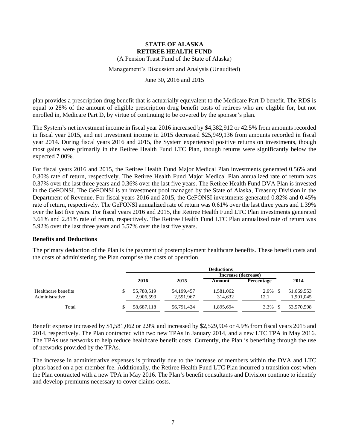(A Pension Trust Fund of the State of Alaska)

Management's Discussion and Analysis (Unaudited)

June 30, 2016 and 2015

plan provides a prescription drug benefit that is actuarially equivalent to the Medicare Part D benefit. The RDS is equal to 28% of the amount of eligible prescription drug benefit costs of retirees who are eligible for, but not enrolled in, Medicare Part D, by virtue of continuing to be covered by the sponsor's plan.

The System's net investment income in fiscal year 2016 increased by \$4,382,912 or 42.5% from amounts recorded in fiscal year 2015, and net investment income in 2015 decreased \$25,949,136 from amounts recorded in fiscal year 2014. During fiscal years 2016 and 2015, the System experienced positive returns on investments, though most gains were primarily in the Retiree Health Fund LTC Plan, though returns were significantly below the expected 7.00%.

For fiscal years 2016 and 2015, the Retiree Health Fund Major Medical Plan investments generated 0.56% and 0.30% rate of return, respectively. The Retiree Health Fund Major Medical Plan annualized rate of return was 0.37% over the last three years and 0.36% over the last five years. The Retiree Health Fund DVA Plan is invested in the GeFONSI. The GeFONSI is an investment pool managed by the State of Alaska, Treasury Division in the Department of Revenue. For fiscal years 2016 and 2015, the GeFONSI investments generated 0.82% and 0.45% rate of return, respectively. The GeFONSI annualized rate of return was 0.61% over the last three years and 1.39% over the last five years. For fiscal years 2016 and 2015, the Retiree Health Fund LTC Plan investments generated 3.61% and 2.81% rate of return, respectively. The Retiree Health Fund LTC Plan annualized rate of return was 5.92% over the last three years and 5.57% over the last five years.

## **Benefits and Deductions**

The primary deduction of the Plan is the payment of postemployment healthcare benefits. These benefit costs and the costs of administering the Plan comprise the costs of operation.

|                     | <b>Deductions</b> |            |                     |                   |            |  |
|---------------------|-------------------|------------|---------------------|-------------------|------------|--|
|                     |                   |            | Increase (decrease) |                   |            |  |
|                     | 2016              | 2015       | Amount              | <b>Percentage</b> | 2014       |  |
| Healthcare benefits | 55,780,519        | 54,199,457 | 1,581,062           | 2.9%              | 51,669,553 |  |
| Administrative      | 2,906,599         | 2,591,967  | 314.632             | 12.1              | 1,901,045  |  |
| Total               | 58,687,118        | 56,791,424 | 1,895,694           | 3.3%              | 53,570,598 |  |

Benefit expense increased by \$1,581,062 or 2.9% and increased by \$2,529,904 or 4.9% from fiscal years 2015 and 2014, respectively. The Plan contracted with two new TPAs in January 2014, and a new LTC TPA in May 2016. The TPAs use networks to help reduce healthcare benefit costs. Currently, the Plan is benefiting through the use of networks provided by the TPAs.

The increase in administrative expenses is primarily due to the increase of members within the DVA and LTC plans based on a per member fee. Additionally, the Retiree Health Fund LTC Plan incurred a transition cost when the Plan contracted with a new TPA in May 2016. The Plan's benefit consultants and Division continue to identify and develop premiums necessary to cover claims costs.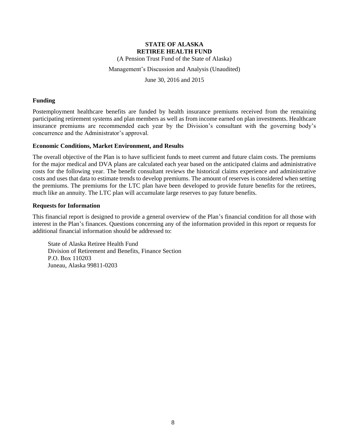(A Pension Trust Fund of the State of Alaska)

Management's Discussion and Analysis (Unaudited)

June 30, 2016 and 2015

## **Funding**

Postemployment healthcare benefits are funded by health insurance premiums received from the remaining participating retirement systems and plan members as well as from income earned on plan investments. Healthcare insurance premiums are recommended each year by the Division's consultant with the governing body's concurrence and the Administrator's approval.

## **Economic Conditions, Market Environment, and Results**

The overall objective of the Plan is to have sufficient funds to meet current and future claim costs. The premiums for the major medical and DVA plans are calculated each year based on the anticipated claims and administrative costs for the following year. The benefit consultant reviews the historical claims experience and administrative costs and uses that data to estimate trends to develop premiums. The amount of reserves is considered when setting the premiums. The premiums for the LTC plan have been developed to provide future benefits for the retirees, much like an annuity. The LTC plan will accumulate large reserves to pay future benefits.

## **Requests for Information**

This financial report is designed to provide a general overview of the Plan's financial condition for all those with interest in the Plan's finances. Questions concerning any of the information provided in this report or requests for additional financial information should be addressed to:

State of Alaska Retiree Health Fund Division of Retirement and Benefits, Finance Section P.O. Box 110203 Juneau, Alaska 99811-0203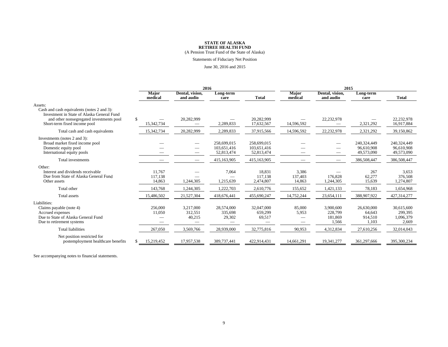# **STATE OF ALASKA<br>
<b>RETIREE HEALTH FUND**<br>
(A Pension Trust Fund of the State of Alaska)

#### Statements of Fiduciary Net Position

#### June 30, 2016 and 2015

|                                                                                                                                                                                 | 2016                        |                                |                                          |                                                         | 2015                                        |                                          |                                          |                                             |
|---------------------------------------------------------------------------------------------------------------------------------------------------------------------------------|-----------------------------|--------------------------------|------------------------------------------|---------------------------------------------------------|---------------------------------------------|------------------------------------------|------------------------------------------|---------------------------------------------|
|                                                                                                                                                                                 | <b>Major</b><br>medical     | Dental, vision,<br>and audio   | Long-term<br>care                        | <b>Total</b>                                            | <b>Major</b><br>medical                     | Dental, vision,<br>and audio             | Long-term<br>care                        | <b>Total</b>                                |
| Assets:<br>Cash and cash equivalents (notes 2 and 3):<br>Investment in State of Alaska General Fund<br>and other nonsegregated investments pool<br>Short-term fixed income pool | \$<br>15,342,734            | 20,282,999                     | 2,289,833                                | 20,282,999<br>17,632,567                                | 14,596,592                                  | 22,232,978                               | 2,321,292                                | 22,232,978<br>16,917,884                    |
| Total cash and cash equivalents                                                                                                                                                 | 15,342,734                  | 20,282,999                     | 2,289,833                                | 37,915,566                                              | 14,596,592                                  | 22,232,978                               | 2,321,292                                | 39,150,862                                  |
| Investments (notes 2 and 3):<br>Broad market fixed income pool<br>Domestic equity pool<br>International equity pools<br>Total investments                                       |                             |                                | 258,699,015<br>103,651,416<br>52,813,474 | 258,699,015<br>103,651,416<br>52,813,474<br>415,163,905 |                                             |                                          | 240,324,449<br>96,610,908<br>49,573,090  | 240,324,449<br>96,610,908<br>49,573,090     |
|                                                                                                                                                                                 |                             |                                | 415,163,905                              |                                                         |                                             |                                          | 386,508,447                              | 386,508,447                                 |
| Other:<br>Interest and dividends receivable<br>Due from State of Alaska General Fund<br>Other assets                                                                            | 11.767<br>117,138<br>14,863 | 1,244,305                      | 7,064<br>1,215,639                       | 18.831<br>117,138<br>2,474,807                          | 3,386<br>137,403<br>14,863                  | 176,828<br>1,244,305                     | 267<br>62,277<br>15,639                  | 3,653<br>376,508<br>1,274,807               |
| Total other                                                                                                                                                                     | 143,768                     | 1,244,305                      | 1,222,703                                | 2,610,776                                               | 155,652                                     | 1,421,133                                | 78,183                                   | 1,654,968                                   |
| Total assets                                                                                                                                                                    | 15,486,502                  | 21,527,304                     | 418,676,441                              | 455,690,247                                             | 14,752,244                                  | 23,654,111                               | 388,907,922                              | 427,314,277                                 |
| Liabilities:<br>Claims payable (note 4)<br>Accrued expenses<br>Due to State of Alaska General Fund<br>Due to retirement systems                                                 | 256,000<br>11,050           | 3,217,000<br>312,551<br>40,215 | 28,574,000<br>335,698<br>29,302          | 32,047,000<br>659,299<br>69,517                         | 85,000<br>5,953<br>$\overline{\phantom{0}}$ | 3,900,600<br>228,799<br>181.869<br>1,566 | 26,630,000<br>64,643<br>914,510<br>1,103 | 30,615,600<br>299,395<br>1,096,379<br>2,669 |
| <b>Total liabilities</b>                                                                                                                                                        | 267,050                     | 3,569,766                      | 28,939,000                               | 32,775,816                                              | 90,953                                      | 4,312,834                                | 27,610,256                               | 32,014,043                                  |
| Net position restricted for<br>postemployment healthcare benefits                                                                                                               | \$<br>15,219,452            | 17,957,538                     | 389,737,441                              | 422,914,431                                             | 14,661,291                                  | 19,341,277                               | 361,297,666                              | 395,300,234                                 |

See accompanying notes to financial statements.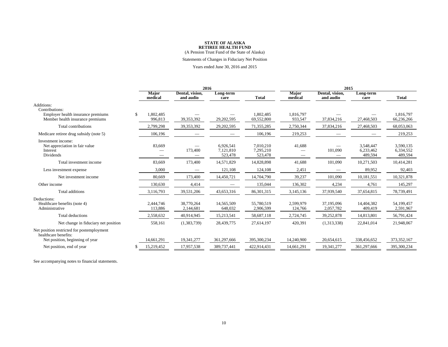# **STATE OF ALASKA<br>
<b>RETIREE HEALTH FUND**<br>
(A Pension Trust Fund of the State of Alaska)

Statements of Changes in Fiduciary Net Position

Years ended June 30, 2016 and 2015

|                                                                               |     |                         | 2016                           |                                   |                                   | 2015                    |                              |                                   |                                   |
|-------------------------------------------------------------------------------|-----|-------------------------|--------------------------------|-----------------------------------|-----------------------------------|-------------------------|------------------------------|-----------------------------------|-----------------------------------|
|                                                                               |     | <b>Major</b><br>medical | Dental, vision,<br>and audio   | Long-term<br>care                 | <b>Total</b>                      | <b>Major</b><br>medical | Dental, vision,<br>and audio | Long-term<br>care                 | <b>Total</b>                      |
| Additions:<br>Contributions:                                                  |     |                         |                                |                                   |                                   |                         |                              |                                   |                                   |
| Employer health insurance premiums<br>Member health insurance premiums        | \$. | 1,802,485<br>996,813    | 39,353,392                     | 29,202,595                        | 1,802,485<br>69,552,800           | 1,816,797<br>933,547    | 37,834,216                   | 27,468,503                        | 1,816,797<br>66,236,266           |
| Total contributions                                                           |     | 2,799,298               | 39,353,392                     | 29,202,595                        | 71,355,285                        | 2,750,344               | 37,834,216                   | 27,468,503                        | 68,053,063                        |
| Medicare retiree drug subsidy (note 5)                                        |     | 106,196                 |                                |                                   | 106,196                           | 219,253                 |                              |                                   | 219,253                           |
| Investment income:<br>Net appreciation in fair value<br>Interest<br>Dividends |     | 83,669                  | 173,400                        | 6,926,541<br>7,121,810<br>523,478 | 7.010.210<br>7,295,210<br>523,478 | 41.688                  | 101,090                      | 3,548,447<br>6,233,462<br>489,594 | 3.590.135<br>6,334,552<br>489,594 |
| Total investment income                                                       |     | 83,669                  | 173,400                        | 14,571,829                        | 14,828,898                        | 41,688                  | 101,090                      | 10,271,503                        | 10,414,281                        |
| Less investment expense                                                       |     | 3,000                   | $\qquad \qquad \longleftarrow$ | 121,108                           | 124,108                           | 2,451                   | —                            | 89,952                            | 92,403                            |
| Net investment income                                                         |     | 80,669                  | 173,400                        | 14,450,721                        | 14,704,790                        | 39,237                  | 101,090                      | 10,181,551                        | 10,321,878                        |
| Other income                                                                  |     | 130,630                 | 4,414                          |                                   | 135,044                           | 136,302                 | 4,234                        | 4,761                             | 145,297                           |
| Total additions                                                               |     | 3,116,793               | 39,531,206                     | 43,653,316                        | 86,301,315                        | 3,145,136               | 37,939,540                   | 37,654,815                        | 78,739,491                        |
| Deductions:<br>Healthcare benefits (note 4)<br>Administrative                 |     | 2.444.746<br>113,886    | 38,770,264<br>2,144,681        | 14,565,509<br>648,032             | 55,780,519<br>2,906,599           | 2,599,979<br>124,766    | 37.195.096<br>2,057,782      | 14,404,382<br>409,419             | 54.199.457<br>2,591,967           |
| <b>Total deductions</b>                                                       |     | 2,558,632               | 40,914,945                     | 15,213,541                        | 58,687,118                        | 2,724,745               | 39,252,878                   | 14,813,801                        | 56,791,424                        |
| Net change in fiduciary net position                                          |     | 558,161                 | (1,383,739)                    | 28,439,775                        | 27,614,197                        | 420,391                 | (1,313,338)                  | 22,841,014                        | 21,948,067                        |
| Net position restricted for postemployment<br>healthcare benefits:            |     | 14,661,291              | 19,341,277                     | 361,297,666                       | 395,300,234                       | 14,240,900              | 20.654.615                   |                                   | 373, 352, 167                     |
| Net position, beginning of year<br>Net position, end of year                  |     | 15,219,452              | 17,957,538                     | 389,737,441                       | 422,914,431                       | 14,661,291              | 19,341,277                   | 338,456,652<br>361,297,666        | 395,300,234                       |
|                                                                               |     |                         |                                |                                   |                                   |                         |                              |                                   |                                   |

See accompanying notes to financial statements.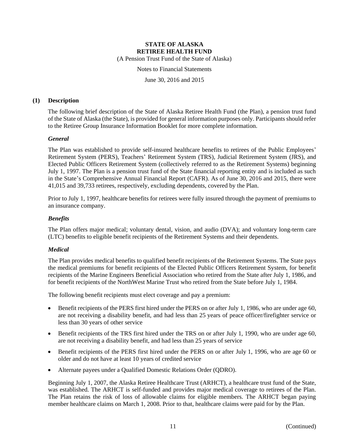(A Pension Trust Fund of the State of Alaska)

Notes to Financial Statements

June 30, 2016 and 2015

## **(1) Description**

The following brief description of the State of Alaska Retiree Health Fund (the Plan), a pension trust fund of the State of Alaska (the State), is provided for general information purposes only. Participants should refer to the Retiree Group Insurance Information Booklet for more complete information.

# *General*

The Plan was established to provide self-insured healthcare benefits to retirees of the Public Employees' Retirement System (PERS), Teachers' Retirement System (TRS), Judicial Retirement System (JRS), and Elected Public Officers Retirement System (collectively referred to as the Retirement Systems) beginning July 1, 1997. The Plan is a pension trust fund of the State financial reporting entity and is included as such in the State's Comprehensive Annual Financial Report (CAFR). As of June 30, 2016 and 2015, there were 41,015 and 39,733 retirees, respectively, excluding dependents, covered by the Plan.

Prior to July 1, 1997, healthcare benefits for retirees were fully insured through the payment of premiums to an insurance company.

# *Benefits*

The Plan offers major medical; voluntary dental, vision, and audio (DVA); and voluntary long-term care (LTC) benefits to eligible benefit recipients of the Retirement Systems and their dependents.

# *Medical*

The Plan provides medical benefits to qualified benefit recipients of the Retirement Systems. The State pays the medical premiums for benefit recipients of the Elected Public Officers Retirement System, for benefit recipients of the Marine Engineers Beneficial Association who retired from the State after July 1, 1986, and for benefit recipients of the NorthWest Marine Trust who retired from the State before July 1, 1984.

The following benefit recipients must elect coverage and pay a premium:

- Benefit recipients of the PERS first hired under the PERS on or after July 1, 1986, who are under age 60, are not receiving a disability benefit, and had less than 25 years of peace officer/firefighter service or less than 30 years of other service
- Benefit recipients of the TRS first hired under the TRS on or after July 1, 1990, who are under age 60, are not receiving a disability benefit, and had less than 25 years of service
- Benefit recipients of the PERS first hired under the PERS on or after July 1, 1996, who are age 60 or older and do not have at least 10 years of credited service
- Alternate payees under a Qualified Domestic Relations Order (QDRO).

Beginning July 1, 2007, the Alaska Retiree Healthcare Trust (ARHCT), a healthcare trust fund of the State, was established. The ARHCT is self-funded and provides major medical coverage to retirees of the Plan. The Plan retains the risk of loss of allowable claims for eligible members. The ARHCT began paying member healthcare claims on March 1, 2008. Prior to that, healthcare claims were paid for by the Plan.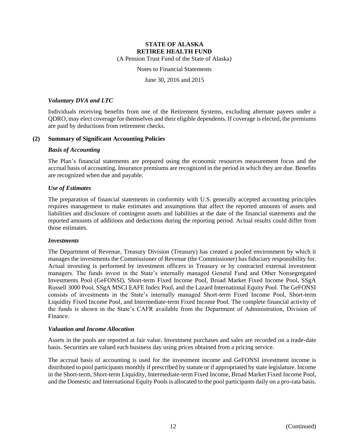(A Pension Trust Fund of the State of Alaska)

Notes to Financial Statements

June 30, 2016 and 2015

## *Voluntary DVA and LTC*

Individuals receiving benefits from one of the Retirement Systems, excluding alternate payees under a QDRO, may elect coverage for themselves and their eligible dependents. If coverage is elected, the premiums are paid by deductions from retirement checks.

# **(2) Summary of Significant Accounting Policies**

## *Basis of Accounting*

The Plan's financial statements are prepared using the economic resources measurement focus and the accrual basis of accounting. Insurance premiums are recognized in the period in which they are due. Benefits are recognized when due and payable.

# *Use of Estimates*

The preparation of financial statements in conformity with U.S. generally accepted accounting principles requires management to make estimates and assumptions that affect the reported amounts of assets and liabilities and disclosure of contingent assets and liabilities at the date of the financial statements and the reported amounts of additions and deductions during the reporting period. Actual results could differ from those estimates.

## *Investments*

The Department of Revenue, Treasury Division (Treasury) has created a pooled environment by which it manages the investments the Commissioner of Revenue (the Commissioner) has fiduciary responsibility for. Actual investing is performed by investment officers in Treasury or by contracted external investment managers. The funds invest in the State's internally managed General Fund and Other Nonsegregated Investments Pool (GeFONSI), Short-term Fixed Income Pool, Broad Market Fixed Income Pool, SSgA Russell 3000 Pool, SSgA MSCI EAFE Index Pool, and the Lazard International Equity Pool. The GeFONSI consists of investments in the State's internally managed Short-term Fixed Income Pool, Short-term Liquidity Fixed Income Pool, and Intermediate-term Fixed Income Pool. The complete financial activity of the funds is shown in the State's CAFR available from the Department of Administration, Division of Finance.

## *Valuation and Income Allocation*

Assets in the pools are reported at fair value. Investment purchases and sales are recorded on a trade-date basis. Securities are valued each business day using prices obtained from a pricing service.

The accrual basis of accounting is used for the investment income and GeFONSI investment income is distributed to pool participants monthly if prescribed by statute or if appropriated by state legislature. Income in the Short-term, Short-term Liquidity, Intermediate-term Fixed Income, Broad Market Fixed Income Pool, and the Domestic and International Equity Pools is allocated to the pool participants daily on a pro-rata basis.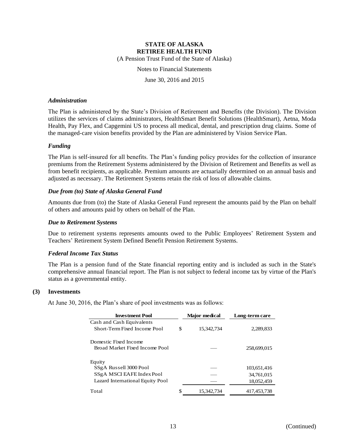(A Pension Trust Fund of the State of Alaska)

Notes to Financial Statements

June 30, 2016 and 2015

### *Administration*

The Plan is administered by the State's Division of Retirement and Benefits (the Division). The Division utilizes the services of claims administrators, HealthSmart Benefit Solutions (HealthSmart), Aetna, Moda Health, Pay Flex, and Capgemini US to process all medical, dental, and prescription drug claims. Some of the managed-care vision benefits provided by the Plan are administered by Vision Service Plan.

## *Funding*

The Plan is self-insured for all benefits. The Plan's funding policy provides for the collection of insurance premiums from the Retirement Systems administered by the Division of Retirement and Benefits as well as from benefit recipients, as applicable. Premium amounts are actuarially determined on an annual basis and adjusted as necessary. The Retirement Systems retain the risk of loss of allowable claims.

# *Due from (to) State of Alaska General Fund*

Amounts due from (to) the State of Alaska General Fund represent the amounts paid by the Plan on behalf of others and amounts paid by others on behalf of the Plan.

# *Due to Retirement Systems*

Due to retirement systems represents amounts owed to the Public Employees' Retirement System and Teachers' Retirement System Defined Benefit Pension Retirement Systems.

# *Federal Income Tax Status*

The Plan is a pension fund of the State financial reporting entity and is included as such in the State's comprehensive annual financial report. The Plan is not subject to federal income tax by virtue of the Plan's status as a governmental entity.

## **(3) Investments**

At June 30, 2016, the Plan's share of pool investments was as follows:

| <b>Investment Pool</b>           |    | <b>Major</b> medical | Long-term care |
|----------------------------------|----|----------------------|----------------|
| Cash and Cash Equivalents        |    |                      |                |
| Short-Term Fixed Income Pool     | \$ | 15,342,734           | 2,289,833      |
| Domestic Fixed Income            |    |                      |                |
| Broad Market Fixed Income Pool   |    |                      | 258,699,015    |
| Equity                           |    |                      |                |
| SSgA Russell 3000 Pool           |    |                      | 103,651,416    |
| SSgA MSCI EAFE Index Pool        |    |                      | 34,761,015     |
| Lazard International Equity Pool |    |                      | 18,052,459     |
| Total                            | S  | 15.342.734           | 417,453,738    |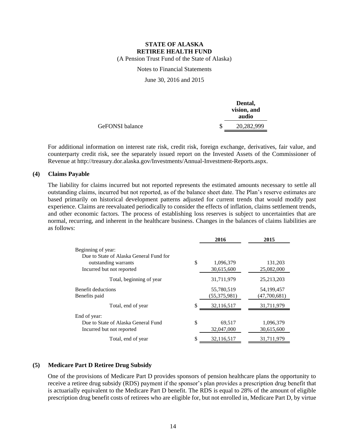(A Pension Trust Fund of the State of Alaska)

Notes to Financial Statements

June 30, 2016 and 2015

|                 | Dental,<br>vision, and<br>audio |
|-----------------|---------------------------------|
| GeFONSI balance | 20,282,999                      |

For additional information on interest rate risk, credit risk, foreign exchange, derivatives, fair value, and counterparty credit risk, see the separately issued report on the Invested Assets of the Commissioner of Revenue at http://treasury.dor.alaska.gov/Investments/Annual-Investment-Reports.aspx.

# **(4) Claims Payable**

The liability for claims incurred but not reported represents the estimated amounts necessary to settle all outstanding claims, incurred but not reported, as of the balance sheet date. The Plan's reserve estimates are based primarily on historical development patterns adjusted for current trends that would modify past experience. Claims are reevaluated periodically to consider the effects of inflation, claims settlement trends, and other economic factors. The process of establishing loss reserves is subject to uncertainties that are normal, recurring, and inherent in the healthcare business. Changes in the balances of claims liabilities are as follows:

| 2016             | 2015         |
|------------------|--------------|
|                  |              |
|                  |              |
| \$<br>1,096,379  | 131,203      |
| 30,615,600       | 25,082,000   |
| 31,711,979       | 25, 213, 203 |
| 55,780,519       | 54,199,457   |
| (55,375,981)     | (47,700,681) |
| \$<br>32,116,517 | 31,711,979   |
|                  |              |
| \$<br>69,517     | 1,096,379    |
| 32,047,000       | 30,615,600   |
| \$<br>32,116,517 | 31,711,979   |
|                  |              |

## **(5) Medicare Part D Retiree Drug Subsidy**

One of the provisions of Medicare Part D provides sponsors of pension healthcare plans the opportunity to receive a retiree drug subsidy (RDS) payment if the sponsor's plan provides a prescription drug benefit that is actuarially equivalent to the Medicare Part D benefit. The RDS is equal to 28% of the amount of eligible prescription drug benefit costs of retirees who are eligible for, but not enrolled in, Medicare Part D, by virtue